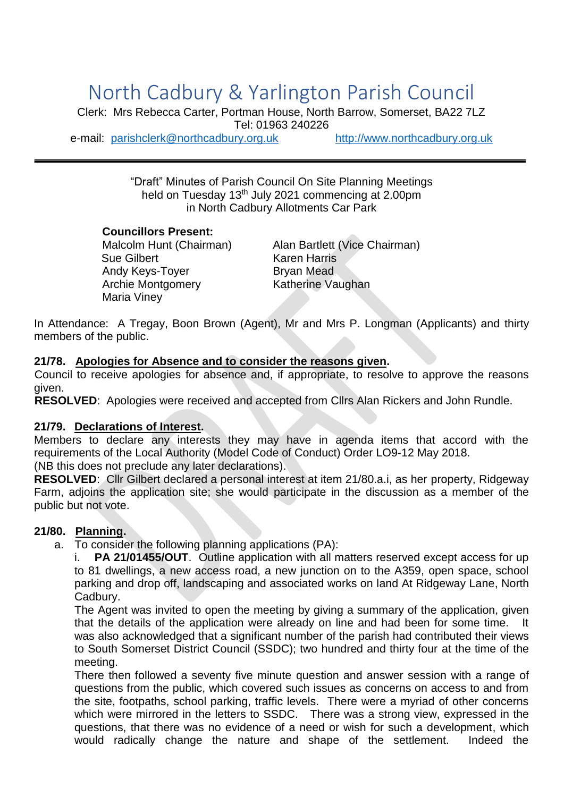# North Cadbury & Yarlington Parish Council

Clerk: Mrs Rebecca Carter, Portman House, North Barrow, Somerset, BA22 7LZ Tel: 01963 240226

e-mail: [parishclerk@northcadbury.org.uk](mailto:parishclerk@northcadbury.org.uk) [http://www.northcadbury.org.uk](http://www.northcadbury.org.uk/)

"Draft" Minutes of Parish Council On Site Planning Meetings held on Tuesday 13<sup>th</sup> July 2021 commencing at 2.00pm in North Cadbury Allotments Car Park

#### **Councillors Present:**

Sue Gilbert Karen Harris Andy Keys-Toyer **Bryan Mead** Archie Montgomery Katherine Vaughan Maria Viney

Malcolm Hunt (Chairman) Alan Bartlett (Vice Chairman)

In Attendance: A Tregay, Boon Brown (Agent), Mr and Mrs P. Longman (Applicants) and thirty members of the public.

## **21/78. Apologies for Absence and to consider the reasons given.**

Council to receive apologies for absence and, if appropriate, to resolve to approve the reasons given.

**RESOLVED**: Apologies were received and accepted from Cllrs Alan Rickers and John Rundle.

#### **21/79. Declarations of Interest.**

Members to declare any interests they may have in agenda items that accord with the requirements of the Local Authority (Model Code of Conduct) Order LO9-12 May 2018.

(NB this does not preclude any later declarations).

**RESOLVED**: Cllr Gilbert declared a personal interest at item 21/80.a.i, as her property, Ridgeway Farm, adjoins the application site; she would participate in the discussion as a member of the public but not vote.

## **21/80. Planning.**

a. To consider the following planning applications (PA):

i. **PA 21/01455/OUT**. Outline application with all matters reserved except access for up to 81 dwellings, a new access road, a new junction on to the A359, open space, school parking and drop off, landscaping and associated works on land At Ridgeway Lane, North Cadbury.

The Agent was invited to open the meeting by giving a summary of the application, given that the details of the application were already on line and had been for some time. It was also acknowledged that a significant number of the parish had contributed their views to South Somerset District Council (SSDC); two hundred and thirty four at the time of the meeting.

There then followed a seventy five minute question and answer session with a range of questions from the public, which covered such issues as concerns on access to and from the site, footpaths, school parking, traffic levels. There were a myriad of other concerns which were mirrored in the letters to SSDC. There was a strong view, expressed in the questions, that there was no evidence of a need or wish for such a development, which would radically change the nature and shape of the settlement. Indeed the